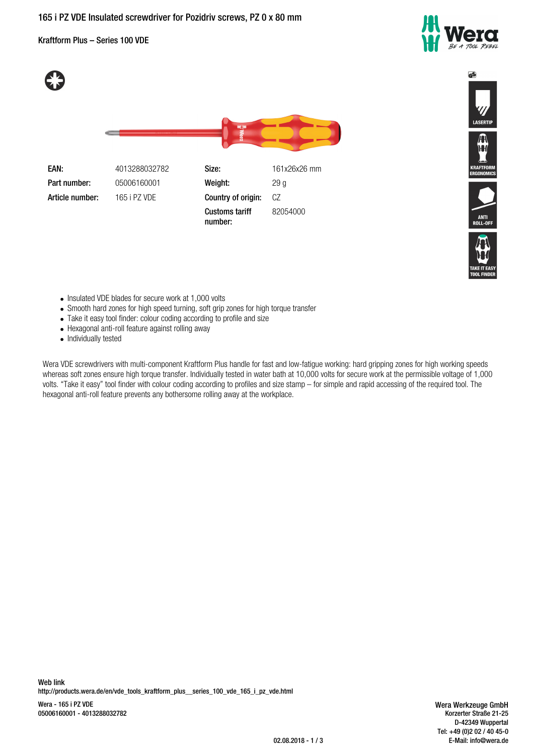# **165 i PZ VDE Insulated screwdriver for Pozidriv screws, PZ 0 x 80 mm**

Kraftform Plus – Series 100 VDE



 $\overline{\mathbf{S}}$ 



**Part number:** 05006160001 **Weight:** 29 g **Article number:** 165 i PZ VDE **Country of origin:** CZ

**EAN:** 4013288032782 **Size:** 161x26x26 mm **Customs tariff number:** 82054000





- Insulated VDE blades for secure work at 1,000 volts
- Smooth hard zones for high speed turning, soft grip zones for high torque transfer
- Take it easy tool finder: colour coding according to profile and size
- Hexagonal anti-roll feature against rolling away
- Individually tested

Wera VDE screwdrivers with multi-component Kraftform Plus handle for fast and low-fatigue working: hard gripping zones for high working speeds whereas soft zones ensure high torque transfer. Individually tested in water bath at 10,000 volts for secure work at the permissible voltage of 1,000 volts. "Take it easy" tool finder with colour coding according to profiles and size stamp – for simple and rapid accessing of the required tool. The hexagonal anti-roll feature prevents any bothersome rolling away at the workplace.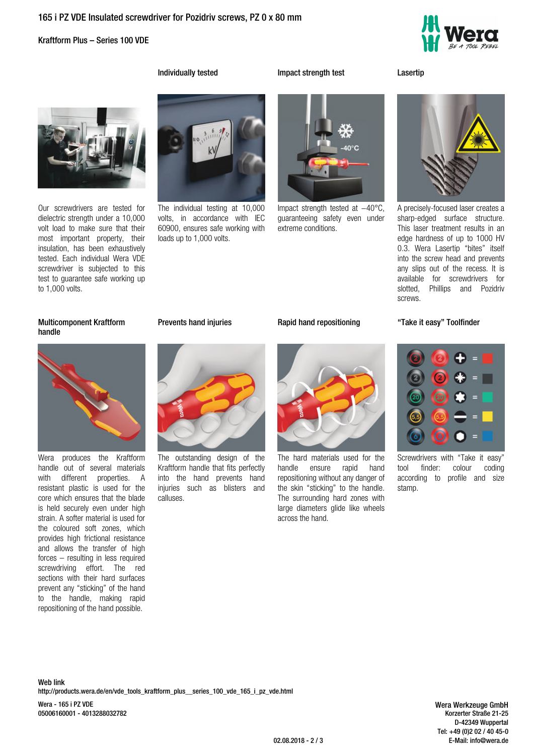## **165 i PZ VDE Insulated screwdriver for Pozidriv screws, PZ 0 x 80 mm**

### Kraftform Plus – Series 100 VDE



**Individually tested Impact strength test Lasertip**



Our screwdrivers are tested for dielectric strength under a 10,000 volt load to make sure that their most important property, their insulation, has been exhaustively tested. Each individual Wera VDE screwdriver is subjected to this test to guarantee safe working up to 1,000 volts.



The individual testing at 10,000 volts, in accordance with IEC 60900, ensures safe working with loads up to 1,000 volts.



Impact strength tested at −40°C, guaranteeing safety even under extreme conditions.

A precisely-focused laser creates a sharp-edged surface structure. This laser treatment results in an edge hardness of up to 1000 HV 0.3. Wera Lasertip "bites" itself into the screw head and prevents any slips out of the recess. It is available for screwdrivers for slotted, Phillips and Pozidriv screws.

# **Multicomponent Kraftform handle**



Wera produces the Kraftform handle out of several materials with different properties. A resistant plastic is used for the core which ensures that the blade is held securely even under high strain. A softer material is used for the coloured soft zones, which provides high frictional resistance and allows the transfer of high forces – resulting in less required screwdriving effort. The red sections with their hard surfaces prevent any "sticking" of the hand to the handle, making rapid repositioning of the hand possible.

The outstanding design of the Kraftform handle that fits perfectly into the hand prevents hand injuries such as blisters and calluses.



The hard materials used for the<br>handle ensure rapid hand ensure rapid hand repositioning without any danger of the skin "sticking" to the handle. The surrounding hard zones with large diameters glide like wheels across the hand.

### **Prevents hand injuries Rapid hand repositioning "Take it easy" Toolfinder**



Screwdrivers with "Take it easy"<br>tool finder: colour coding tool finder: according to profile and size stamp.